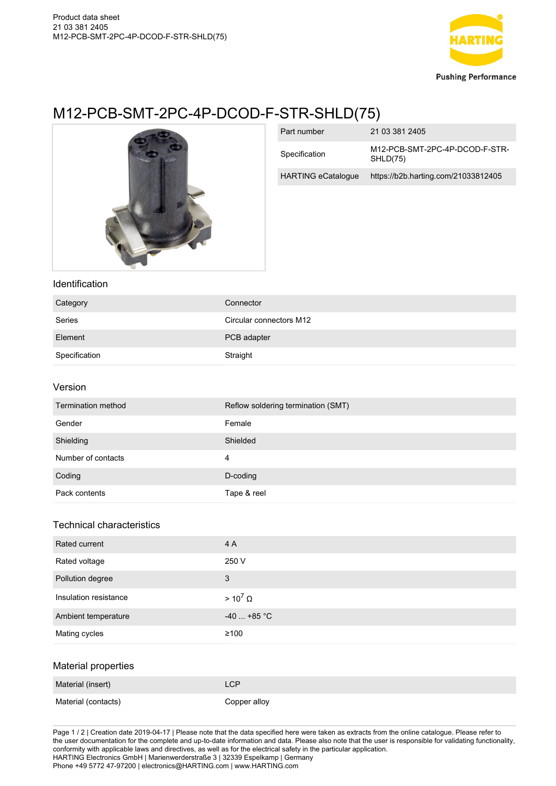

# M12-PCB-SMT-2PC-4P-DCOD-F-STR-SHLD(75)



| Part number               | 21 03 381 2405                             |
|---------------------------|--------------------------------------------|
| Specification             | M12-PCB-SMT-2PC-4P-DCOD-F-STR-<br>SHLD(75) |
| <b>HARTING eCatalogue</b> | https://b2b.harting.com/21033812405        |

## Identification

| Category      | Connector               |
|---------------|-------------------------|
| Series        | Circular connectors M12 |
| Element       | PCB adapter             |
| Specification | Straight                |

#### Version

| Termination method | Reflow soldering termination (SMT) |
|--------------------|------------------------------------|
| Gender             | Female                             |
| Shielding          | Shielded                           |
| Number of contacts | 4                                  |
| Coding             | D-coding                           |
| Pack contents      | Tape & reel                        |

### Technical characteristics

| Rated current         | 4 A               |
|-----------------------|-------------------|
| Rated voltage         | 250 V             |
| Pollution degree      | 3                 |
| Insulation resistance | $> 10^7$ $\Omega$ |
| Ambient temperature   | $-40$ +85 °C      |
| Mating cycles         | $\geq 100$        |
| Material properties   |                   |
| Material (insert)     | <b>LCP</b>        |

| Material (contacts) | Copper alloy |
|---------------------|--------------|

Page 1 / 2 | Creation date 2019-04-17 | Please note that the data specified here were taken as extracts from the online catalogue. Please refer to the user documentation for the complete and up-to-date information and data. Please also note that the user is responsible for validating functionality, conformity with applicable laws and directives, as well as for the electrical safety in the particular application. HARTING Electronics GmbH | Marienwerderstraße 3 | 32339 Espelkamp | Germany Phone +49 5772 47-97200 | electronics@HARTING.com | www.HARTING.com